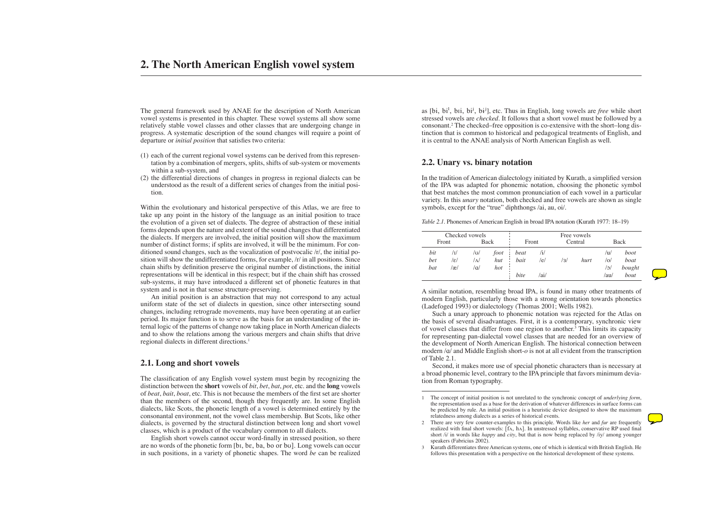The general framework used by ANAE for the description of North American vowel systems is presented in this chapter. These vowel systems all show some relatively stable vowel classes and other classes that are undergoing change in progress. A systematic description of the sound changes will require a point of departure or *initial position* that satisfies two criteria:

- (1) each of the current regional vowel systems can be derived from this representation by a combination of mergers, splits, shifts of sub-system or movements within a sub-system, and
- (2) the differential directions of changes in progress in regional dialects can be understood as the result of a different series of changes from the initial position.

An initial position is an abstraction that may not correspond to any actual uniform state of the set of dialects in question, since other intersecting sound changes, including retrograde movements, may have been operating at an earlier period. Its major function is to serve as the basis for an understanding of the internal logic of the patterns of change now taking place in North American dialects and to show the relations among the various mergers and chain shifts that drive regional dialects in different directions.<sup>1</sup>

Within the evolutionary and historical perspective of this Atlas, we are free to take up any point in the history of the language as an initial position to trace the evolution of a given set of dialects. The degree of abstraction of these initial forms depends upon the nature and extent of the sound changes that differentiated the dialects. If mergers are involved, the initial position will show the maximum number of distinct forms; if splits are involved, it will be the minimum. For conditioned sound changes, such as the vocalization of postvocalic /r/, the initial position will show the undifferentiated forms, for example, /r/ in all positions. Since chain shifts by definition preserve the original number of distinctions, the initial representations will be identical in this respect; but if the chain shift has crossed sub-systems, it may have introduced a different set of phonetic features in that system and is not in that sense structure-preserving.

as  $[bi, bi^1, bi^j, bi^j]$ , etc. Thus in English, long vowels are *free* while short stressed vowels are *checked*. It follows that a short vowel must be followed by a consonant.2 The checked–free opposition is co-extensive with the short–long distinction that is common to historical and pedagogical treatments of English, and it is central to the ANAE analysis of North American English as well.

## **2.1. Long and short vowels**

The classification of any English vowel system must begin by recognizing the distinction between the **short** vowels of *bit*, *bet*, *bat*, *pot*, etc. and the **long** vowels of *beat*, *bait*, *boat*, etc. This is not because the members of the first set are shorter than the members of the second, though they frequently are. In some English dialects, like Scots, the phonetic length of a vowel is determined entirely by the consonantal environment, not the vowel class membership. But Scots, like other dialects, is governed by the structural distinction between long and short vowel classes, which is a product of the vocabulary common to all dialects.

English short vowels cannot occur word-finally in stressed position, so there are no words of the phonetic form  $[b, be, ba, bo \text{ or } bu]$ . Long vowels can occur in such positions, in a variety of phonetic shapes. The word *be* can be realized

## **2.2. Unary vs. binary notation**

In the tradition of American dialectology initiated by Kurath, a simplified version of the IPA was adapted for phonemic notation, choosing the phonetic symbol that best matches the most common pronunciation of each vowel in a particular variety. In this *unary* notation, both checked and free vowels are shown as single symbols, except for the "true" diphthongs /ai, au, oi/.

*Table 2.1.* Phonemes of American English in broad IPA notation (Kurath 1977: 18–19)

| Checked vowels<br>Back<br>Front |                               |                  | Front |                               |                           | Free vowels<br>Central |      | Back                      |                                |
|---------------------------------|-------------------------------|------------------|-------|-------------------------------|---------------------------|------------------------|------|---------------------------|--------------------------------|
| bit<br>bet<br>bat               | $\sqrt{I}$<br>/ɛ/<br>$\alpha$ | U <br>/A/<br>/a/ | hot   | foot beat<br>hut bait<br>bite | $\sqrt{1}$<br>/e/<br>/ai/ | /3/                    | hurt | /u/<br>/0/<br>/၁/<br>/au/ | boot<br>boat<br>bought<br>bout |

A similar notation, resembling broad IPA, is found in many other treatments of modern English, particularly those with a strong orientation towards phonetics (Ladefoged 1993) or dialectology (Thomas 2001; Wells 1982).

Such a unary approach to phonemic notation was rejected for the Atlas on the basis of several disadvantages. First, it is a contemporary, synchronic view of vowel classes that differ from one region to another.<sup>3</sup> This limits its capacity for representing pan-dialectal vowel classes that are needed for an overview of the development of North American English. The historical connection between modern  $/a$  and Middle English short- $o$  is not at all evident from the transcription of Table 2.1.

Second, it makes more use of special phonetic characters than is necessary at a broad phonemic level, contrary to the IPA principle that favors minimum deviation from Roman typography.



<sup>1</sup> The concept of initial position is not unrelated to the synchronic concept of *underlying form*, the representation used as a base for the derivation of whatever differences in surface forms can be predicted by rule. An initial position is a heuristic device designed to show the maximum relatedness among dialects as a series of historical events.

<sup>2</sup> There are very few counter-examples to this principle. Words like *her* and *fur* are frequently realized with final short vowels: [f∧, h∧]. In unstressed syllables, conservative RP used final short /i/ in words like *happy* and *city*, but that is now being replaced by /iy/ among younger speakers (Fabricius 2002).

<sup>3</sup> Kurath differentiates three American systems, one of which is identical with British English. He follows this presentation with a perspective on the historical development of these systems.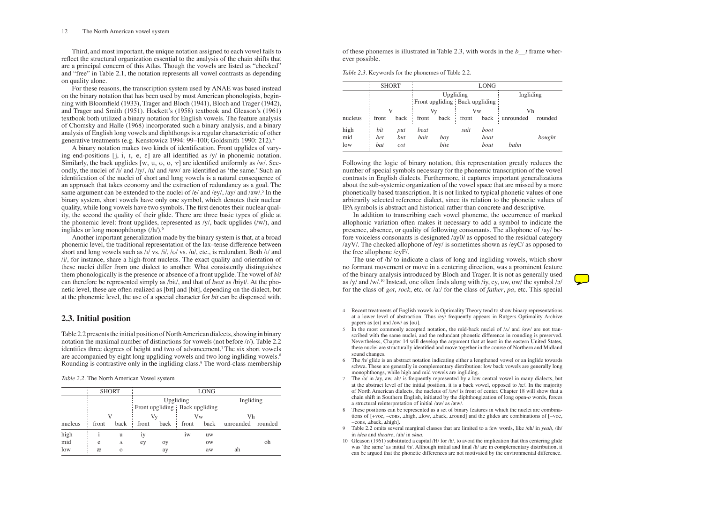Third, and most important, the unique notation assigned to each vowel fails to reflect the structural organization essential to the analysis of the chain shifts that are a principal concern of this Atlas. Though the vowels are listed as "checked" and "free" in Table 2.1, the notation represents all vowel contrasts as depending on quality alone.

A binary notation makes two kinds of identification. Front upglides of varying end-positions  $[i, i, I, e, \varepsilon]$  are all identified as /y/ in phonemic notation. Similarly, the back upglides [w, u, v, o,  $\gamma$ ] are identified uniformly as /w/. Secondly, the nuclei of /i/ and /iy/, /u/ and /uw/ are identified as 'the same.' Such an identification of the nuclei of short and long vowels is a natural consequence of an approach that takes economy and the extraction of redundancy as a goal. The same argument can be extended to the nuclei of /e/ and /ey/, /ay/ and /aw/.<sup>5</sup> In the binary system, short vowels have only one symbol, which denotes their nuclear quality, while long vowels have two symbols. The first denotes their nuclear quality, the second the quality of their glide. There are three basic types of glide at the phonemic level: front upglides, represented as /y/, back upglides (/w/), and inglides or long monophthongs  $(h)/$ .<sup>6</sup>

For these reasons, the transcription system used by ANAE was based instead on the binary notation that has been used by most American phonologists, beginning with Bloomfield (1933), Trager and Bloch (1941), Bloch and Trager (1942), and Trager and Smith (1951). Hockett's (1958) textbook and Gleason's (1961) textbook both utilized a binary notation for English vowels. The feature analysis of Chomsky and Halle (1968) incorporated such a binary analysis, and a binary analysis of English long vowels and diphthongs is a regular characteristic of other generative treatments (e.g. Kenstowicz 1994: 99–100; Goldsmith 1990: 212).4

Table 2.2 presents the initial position of North American dialects, showing in binary notation the maximal number of distinctions for vowels (not before /r/). Table 2.2 identifies three degrees of height and two of advancement.7 The six short vowels are accompanied by eight long upgliding vowels and two long ingliding vowels.8 Rounding is contrastive only in the ingliding class.<sup>9</sup> The word-class membership

Another important generalization made by the binary system is that, at a broad phonemic level, the traditional representation of the lax–tense difference between short and long vowels such as  $\frac{1}{\sqrt{V}}$  vs.  $\frac{1}{\sqrt{V}}$  vs.  $\frac{1}{\sqrt{V}}$ , etc., is redundant. Both  $\frac{1}{\sqrt{V}}$  and /i/, for instance, share a high-front nucleus. The exact quality and orientation of these nuclei differ from one dialect to another. What consistently distinguishes them phonologically is the presence or absence of a front upglide. The vowel of *bit* can therefore be represented simply as /bit/, and that of *beat* as /biyt/. At the phonetic level, these are often realized as [bIt] and [bit], depending on the dialect, but at the phonemic level, the use of a special character for *bit* can be dispensed with.

# **2.3. Initial position**

*Table 2.2.* The North American Vowel system

|         | <b>SHORT</b> |              | <b>LONG</b>                      |          |           |           |                |         |  |
|---------|--------------|--------------|----------------------------------|----------|-----------|-----------|----------------|---------|--|
|         |              |              |                                  |          | Upgliding |           | Ingliding      |         |  |
|         |              |              | Front upgliding   Back upgliding |          |           |           |                |         |  |
|         |              |              |                                  | Vw<br>Vv |           |           | Vh             |         |  |
| nucleus | front        | back         | front                            | back     | front     |           | back unrounded | rounded |  |
| high    |              | u            | 1y                               |          | 1W        | uw        |                |         |  |
| mid     | e            | Λ            | ey                               | oy       |           | <b>OW</b> |                | oh      |  |
| low     | æ            | $\mathbf{O}$ |                                  | ay       |           | aw        | ah             |         |  |

of these phonemes is illustrated in Table 2.3, with words in the *b\_\_t* frame wherever possible.

*Table 2.3.* Keywords for the phonemes of Table 2.2.

|                    | <b>SHORT</b>      |                   | <b>LONG</b>  |             |           |                                |                |         |  |
|--------------------|-------------------|-------------------|--------------|-------------|-----------|--------------------------------|----------------|---------|--|
|                    |                   |                   |              |             | Upgliding | Front upgliding Back upgliding | Ingliding      |         |  |
|                    |                   |                   |              | Vv          |           | Vw                             | Vh             |         |  |
| nucleus            | front             | back              | front        | back        | front     |                                | back unrounded | rounded |  |
| high<br>mid<br>low | bit<br>bet<br>bat | put<br>but<br>cot | beat<br>bait | boy<br>bite | suit      | boot<br>boat<br>bout           | balm           | bought  |  |

Following the logic of binary notation, this representation greatly reduces the number of special symbols necessary for the phonemic transcription of the vowel contrasts in English dialects. Furthermore, it captures important generalizations about the sub-systemic organization of the vowel space that are missed by a more phonetically based transcription. It is not linked to typical phonetic values of one arbitrarily selected reference dialect, since its relation to the phonetic values of IPA symbols is abstract and historical rather than concrete and descriptive.

In addition to transcribing each vowel phoneme, the occurrence of marked allophonic variation often makes it necessary to add a symbol to indicate the presence, absence, or quality of following consonants. The allophone of /ay/ before voiceless consonants is designated /ay0/ as opposed to the residual category /ayV/. The checked allophone of /ey/ is sometimes shown as /eyC/ as opposed to the free allophone /eyF/.

The use of /h/ to indicate a class of long and ingliding vowels, which show no formant movement or move in a centering direction, was a prominent feature of the binary analysis introduced by Bloch and Trager. It is not as generally used as /y/ and /w/.<sup>10</sup> Instead, one often finds along with /iy, ey, uw, ow/ the symbol /o/ for the class of *got*, *rock*, etc. or /a:/ for the class of *father*, *pa*, etc. This special

- 6 The /h/ glide is an abstract notation indicating either a lengthened vowel or an inglide towards schwa. These are generally in complementary distribution: low back vowels are generally long monophthongs, while high and mid vowels are ingliding.
- 7 The  $\sqrt{a}$  in  $\sqrt{ay}$ , aw, ah/ is frequently represented by a low central vowel in many dialects, but at the abstract level of the initial position, it is a back vowel, opposed to /æ/. In the majority of North American dialects, the nucleus of /aw/ is front of center. Chapter 18 will show that a chain shift in Southern English, initiated by the diphthongization of long open-*o* words, forces a structural reinterpretation of initial /aw/ as /æw/.
- 8 These positions can be represented as a set of binary features in which the nuclei are combinations of [+voc, −cons, ±high, ±low, ±back, ±round] and the glides are combinations of [−voc, −cons, ±back, ±high].
- 9 Table 2.2 omits several marginal classes that are limited to a few words, like /eh/ in *yeah*, /ih/ in *idea* and *theatre*, /uh/ in *skua.*
- 10 Gleason (1961) substituted a capital /H/ for /h/, to avoid the implication that this centering glide was ʻthe same' as initial /h/. Although initial and final /h/ are in complementary distribution, it can be argued that the phonetic differences are not motivated by the environmental difference.



<sup>5</sup> In the most commonly accepted notation, the mid-back nuclei of  $/\Delta$  and  $/\omega$  are not transcribed with the same nuclei, and the redundant phonetic difference in rounding is preserved. Nevertheless, Chapter 14 will develop the argument that at least in the eastern United States, these nuclei are structurally identified and move together in the course of Northern and Midland sound changes.

<sup>4</sup> Recent treatments of English vowels in Optimality Theory tend to show binary representations at a lower level of abstraction. Thus /ey/ frequently appears in Rutgers Optimality Archive papers as [eI] and /ow/ as [oU].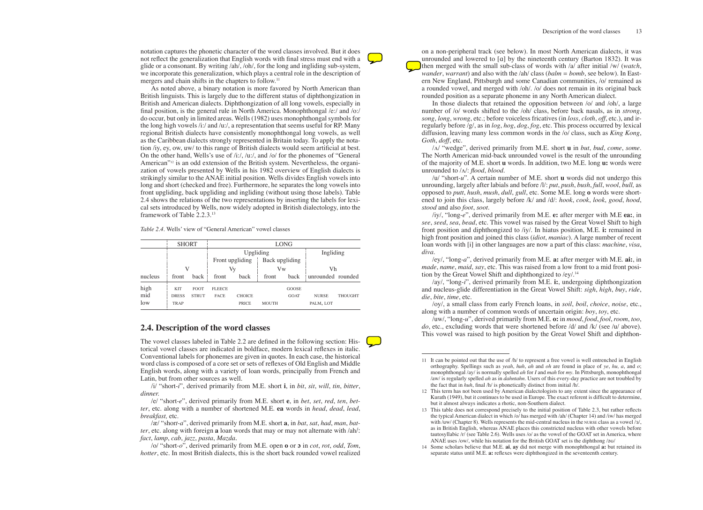notation captures the phonetic character of the word classes involved. But it does not reflect the generalization that English words with final stress must end with a glide or a consonant. By writing /ah/, /oh/, for the long and ingliding sub-system, we incorporate this generalization, which plays a central role in the description of mergers and chain shifts in the chapters to follow.<sup>11</sup>

As noted above, a binary notation is more favored by North American than British linguists. This is largely due to the different status of diphthongization in British and American dialects. Diphthongization of all long vowels, especially in final position, is the general rule in North America. Monophthongal /e:/ and /o:/ do occur, but only in limited areas. Wells (1982) uses monophthongal symbols for the long high vowels /i:/ and /u:/, a representation that seems useful for RP. Many regional British dialects have consistently monophthongal long vowels, as well as the Caribbean dialects strongly represented in Britain today. To apply the notation /iy, ey, ow, uw/ to this range of British dialects would seem artificial at best. On the other hand, Wells's use of  $/i$ :/,  $/u$ :/, and  $/\nu$  for the phonemes of "General" American"12 is an odd extension of the British system. Nevertheless, the organization of vowels presented by Wells in his 1982 overview of English dialects is strikingly similar to the ANAE initial position. Wells divides English vowels into long and short (checked and free). Furthermore, he separates the long vowels into front upgliding, back upgliding and ingliding (without using those labels). Table 2.4 shows the relations of the two representations by inserting the labels for lexical sets introduced by Wells, now widely adopted in British dialectology, into the framework of Table 2.2.3.13

/o/ "short*-o*", derived primarily from M.E. open **o** or in *cot*, *rot*, *odd*, *Tom*, *hotter*, etc. In most British dialects, this is the short back rounded vowel realized

*Table 2.4.* Wells' view of "General American" vowel classes

|         | <b>SHORT</b> |              |               |                 |                |              |                   |                |
|---------|--------------|--------------|---------------|-----------------|----------------|--------------|-------------------|----------------|
|         |              |              |               | Upgliding       |                | Ingliding    |                   |                |
|         |              |              |               | Front upgliding | Back upgliding |              |                   |                |
|         | V            |              |               | Vv              | Vw             |              | Vh                |                |
| nucleus | front        | back         | front         | back            | front          | back         | unrounded rounded |                |
| high    | <b>KIT</b>   | FOOT         | <b>FLEECE</b> |                 |                | <b>GOOSE</b> |                   |                |
| mid     | <b>DRESS</b> | <b>STRUT</b> | <b>FACE</b>   | <b>CHOICE</b>   |                | <b>GOAT</b>  | <b>NURSE</b>      | <b>THOUGHT</b> |
| low     | TRAP         |              |               | <b>PRICE</b>    | <b>MOUTH</b>   |              | PALM, LOT         |                |

In those dialects that retained the opposition between  $\frac{1}{2}$  of and  $\frac{1}{2}$  a large number of /o/ words shifted to the /oh/ class, before back nasals, as in *strong*, *song*, *long*, *wrong*, etc.; before voiceless fricatives (in *loss*, *cloth*, *off*, etc.), and irregularly before /g/, as in *log*, *hog*, *dog*, *fog*, etc. This process occurred by lexical diffusion, leaving many less common words in the /o/ class, such as *King Kong*, *Goth*, *doff*, etc.

### **2.4. Description of the word classes**

The vowel classes labeled in Table 2.2 are defined in the following section: Historical vowel classes are indicated in boldface, modern lexical reflexes in italic. Conventional labels for phonemes are given in quotes. In each case, the historical word class is composed of a core set or sets of reflexes of Old English and Middle English words, along with a variety of loan words, principally from French and Latin, but from other sources as well.

/i/ "short-*i*", derived primarily from M.E. short **i**, in *bit*, *sit*, *will*, *tin*, *bitter*, *dinner.*

/e/ "short*-e*", derived primarily from M.E. short **e**, in *bet*, *set*, *red*, *ten*, *better*, etc. along with a number of shortened M.E. **ea** words in *head*, *dead*, *lead*, *breakfast,* etc.

/æ/ "shor*t-a*", derived primarily from M.E. short **a**, in *bat*, *sat*, *had*, *man*, *batter*, etc. along with foreign **a** loan words that may or may not alternate with /ah/: *fact*, *lamp*, *cab*, *jazz*, *pasta*, *Mazda*.

on a non-peripheral track (see below). In most North American dialects, it was unrounded and lowered to  $\lceil a \rceil$  by the nineteenth century (Barton 1832). It was then merged with the small sub-class of words with /a/ after initial /w/ (*watch*, *wander*, *warrant*) and also with the /ah/ class (*balm = bomb*, see below). In Eastern New England, Pittsburgh and some Canadian communities, /o/ remained as a rounded vowel, and merged with /oh/. /o/ does not remain in its original back rounded position as a separate phoneme in any North American dialect.

/√/ "wedge", derived primarily from M.E. short **u** in *but*, *bud*, *come*, *some.*  The North American mid-back unrounded vowel is the result of the unrounding of the majority of M.E. short **u** words. In addition, two M.E. long **u:** words were unrounded to /√/: *flood*, *blood.*

/u/ "short*-u*"*.* A certain number of M.E. short **u** words did not undergo this unrounding, largely after labials and before /l/: *put*, *push*, *bush*, *full*, *wool*, *bull,* as opposed to *putt*, *hush*, *mush*, *dull*, *gull*, etc. Some M.E. long **o** words were shortened to join this class, largely before /k/ and /d/: *hook*, *cook*, *look*, *good*, *hood*, *stood* and also *foot*, *soot.*

/iy/, "long-*e*", derived primarily from M.E. **e:** after merger with M.E **ea:**, in *see*, *seed*, *sea*, *bead*, etc. This vowel was raised by the Great Vowel Shift to high front position and diphthongized to /iy/. In hiatus position, M.E. **i:** remained in high front position and joined this class (*idiot*, *maniac*). A large number of recent loan words with [i] in other languages are now a part of this class: *machine*, *visa*, *diva.*

/ey/, "long-*a*", derived primarily from M.E. **a:** after merger with M.E. **ai:**, in *made*, *name*, *maid*, *say*, etc. This was raised from a low front to a mid front position by the Great Vowel Shift and diphthongized to /ey/.14

/ay/, "long-*i*", derived primarily from M.E. **i:**, undergoing diphthongization and nucleus-glide differentiation in the Great Vowel Shift: *sigh*, *high*, *buy*, *ride*, *die*, *bite*, *time*, etc.

/oy/, a small class from early French loans, in *soil*, *boil*, *choice*, *noise*, etc., along with a number of common words of uncertain origin: *boy*, *toy*, etc.

/uw/, "long-*u*", derived primarily from M.E. **o:** in *mood*, *food*, *fool*, *room*, *too*, *do*, etc., excluding words that were shortened before /d/ and /k/ (see /u/ above). This vowel was raised to high position by the Great Vowel Shift and diphthon-

<sup>13</sup> This table does not correspond precisely to the initial position of Table 2.3, but rather reflects the typical American dialect in which /o/ has merged with /ah/ (Chapter 14) and /iw/ has merged with /uw/ (Chapter 8). Wells represents the mid-central nucleus in the NURSE class as a vowel /3/, as in British English, whereas ANAE places this constricted nucleus with other vowels before tautosyllabic /r/ (see Table 2.6). Wells uses /o/ as the vowel of the GOAT set in America, where ANAE uses /ow/, while his notation for the British GOAT set is the diphthong / $\delta U$ /

<sup>11</sup> It can be pointed out that the use of /h/ to represent a free vowel is well entrenched in English orthography. Spellings such as *yeah*, *huh*, *ah* and *oh* are found in place of *ye*, *hu, a*, and *o*; monophthongal /ay/ is normally spelled *ah* for *I* and *mah* for *my*. In Pittsburgh, monophthongal /aw/ is regularly spelled *ah* as in *dahntahn.* Users of this every-day practice are not troubled by the fact that in *huh*, final /h/ is phonetically distinct from initial /h/.

<sup>12</sup> This term has not been used by American dialectologists to any extent since the appearance of Kurath (1949), but it continues to be used in Europe. The exact referent is difficult to determine, but it almost always indicates a rhotic, non-Southern dialect.

<sup>14</sup> Some scholars believe that M.E. **ai**, **ay** did not merge with monophthongal **a:** but retained its separate status until M.E. **a:** reflexes were diphthongized in the seventeenth century.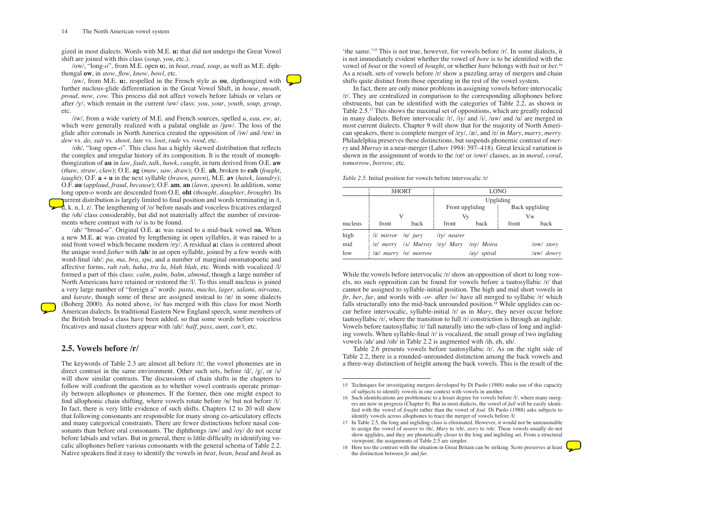gized in most dialects. Words with M.E. **u:** that did not undergo the Great Vowel shift are joined with this class (*soup*, *you*, etc.).

/ow/, "long-*o*", from M.E. open **o:**, in *boat*, *road*, *soap*, as well as M.E. diphthongal **ow**, in *stow*, *flow*, *know*, *bowl*, etc.

/aw/, from M.E. **u:**, respelled in the French style as **ou**, dipthongized with further nucleus-glide differentiation in the Great Vowel Shift, in *house*, *mouth*, *proud*, *now*, *cow.* This process did not affect vowels before labials or velars or after /y/, which remain in the current /uw/ class: *you*, *your*, *youth*, *soup*, *group*, etc.

/iw/, from a wide variety of M.E. and French sources, spelled *u*, *eau*, *ew*, *ui*, which were generally realized with a palatal onglide as /juw/. The loss of the glide after coronals in North America created the opposition of /iw/ and /uw/ in *dew* vs. *do*, *suit* vs. *shoot*, *lute* vs. *loot*, *rude* vs. *rood*, etc.

/oh/, "long open-*o*". This class has a highly skewed distribution that reflects the complex and irregular history of its composition. It is the result of monophthongization of **au** in *law*, *fault*, *talk*, *hawk*, *caught*, in turn derived from O.E. **aw** (*thaw*, *straw*, *claw*); O.E. **ag** (*maw*, *saw*, *draw*); O.E. **ah**, broken to **eah** (*fought*, *taught*); O.F. **a** + **u** in the next syllable (*brawn*, *pawn*), M.E. **av** (*hawk*, *laundry*); O.F. **au** (*applaud*, *fraud*, *because*); O.F. **am**, **an** (*lawn*, *spawn*). In addition, some long open-*o* words are descended from O.E. **oht** (*thought*, *daughter*, *brought*). Its **u**urrent distribution is largely limited to final position and words terminating in  $/t$ , d, k. n, l, z/. The lengthening of /o/ before nasals and voiceless fricatives enlarged the /oh/ class considerably, but did not materially affect the number of environments where contrast with /o/ is to be found.

The keywords of Table 2.3 are almost all before  $/t$ ; the vowel phonemes are in direct contrast in the same environment. Other such sets, before /d/, /g/, or /s/ will show similar contrasts. The discussions of chain shifts in the chapters to follow will confront the question as to whether vowel contrasts operate primarily between allophones or phonemes. If the former, then one might expect to find allophonic chain shifting, where vowels rotate before /n/ but not before /t/. In fact, there is very little evidence of such shifts. Chapters 12 to 20 will show that following consonants are responsible for many strong co-articulatory effects and many categorical constraints. There are fewer distinctions before nasal consonants than before oral consonants. The diphthongs /aw/ and /oy/ do not occur before labials and velars. But in general, there is little difficulty in identifying vocalic allophones before various consonants with the general schema of Table 2.2. Native speakers find it easy to identify the vowels in *beat*, *bean*, *bead* and *beak* as

/ah/ "broad-*a*". Original O.E. **a:** was raised to a mid-back vowel **oa.** When a new M.E. **a:** was created by lengthening in open syllables, it was raised to a mid front vowel which became modern /ey/. A residual **a:** class is centered about the unique word *father* with **/ah**/ in an open syllable, joined by a few words with word-final /ah/: *pa*, *ma*, *bra*, *spa*, and a number of marginal onomatopoetic and affective forms, *rah rah*, *haha*, *tra la*, *blah blah*, etc. Words with vocalized /l/ formed a part of this class: *calm*, *palm*, *balm*, *almond*, though a large number of North Americans have retained or restored the /l/. To this small nucleus is joined a very large number of "foreign a" words: *pasta*, *macho*, *lager*, *salami*, *nirvana*, and *karate*, though some of these are assigned instead to /æ/ in some dialects (Boberg 2000). As noted above, /o/ has merged with this class for most North American dialects. In traditional Eastern New England speech, some members of the British broad-a class have been added, so that some words before voiceless fricatives and nasal clusters appear with /ah/: *half*, *pass*, *aunt*, *can't*, etc.

## **2.5. Vowels before /r/**

While the vowels before intervocalic  $\frac{r}{s}$  show an opposition of short to long vowels, no such opposition can be found for vowels before a tautosyllabic /r/ that cannot be assigned to syllable-initial position. The high and mid short vowels in *fir*, *her*, *fur*, and words with *-or-* after /*w*/ have all merged to syllabic /r/ which falls structurally into the mid-back unrounded position.<sup>18</sup> While upglides can occur before intervocalic, syllable-initial /r/ as in *Mary*, they never occur before tautosyllabic /r/, where the transition to full /r/ constriction is through an inglide. Vowels before tautosyllabic /r/ fall naturally into the sub-class of long and ingliding vowels. When syllable-final /r/ is vocalized, the small group of two ingliding vowels /ah/ and /oh/ in Table 2.2 is augmented with /ih, eh, uh/.

ʻthe same.'15 This is not true, however, for vowels before /r/. In some dialects, it is not immediately evident whether the vowel of *bore* is to be identified with the vowel of *boat* or the vowel of *bought*, or whether *bare* belongs with *bait* or *bet.*<sup>16</sup> As a result, sets of vowels before  $\overline{r}$  show a puzzling array of mergers and chain shifts quite distinct from those operating in the rest of the vowel system.

In fact, there are only minor problems in assigning vowels before intervocalic /r/. They are centralized in comparison to the corresponding allophones before obstruents, but can be identified with the categories of Table 2.2, as shown in Table 2.5.17 This shows the maximal set of oppositions, which are greatly reduced in many dialects. Before intervocalic  $\langle r \rangle$ ,  $\langle i \overline{y} \rangle$  and  $\langle i \rangle$ ,  $\langle i \overline{w} \rangle$  and  $\langle u \rangle$  are merged in most current dialects. Chapter 9 will show that for the majority of North American speakers, there is complete merger of /ey/, /æ/, and /e/ in *Mary*, *marry*, *merry*. Philadelphia preserves these distinctions, but suspends phonemic contrast of *merry* and *Murray* in a near-merger (Labov 1994: 397–418). Great lexical variation is shown in the assignment of words to the /or/ or /owr/ classes, as in *moral*, *coral*, *tomorrow*, *borrow*, etc.

*Table 2.5.* Initial position for vowels before intervocalic /r/

|         |       | <b>SHORT</b>                                                 | <b>LONG</b> |                 |       |                                   |  |  |
|---------|-------|--------------------------------------------------------------|-------------|-----------------|-------|-----------------------------------|--|--|
|         |       |                                                              |             | Upgliding       |       |                                   |  |  |
|         |       |                                                              |             | Front upgliding |       | Back upgliding                    |  |  |
|         |       |                                                              |             | Vy              |       | Vw                                |  |  |
| nucleus | front | back                                                         | front       | back            | front | back                              |  |  |
| high    |       | $\frac{1}{1}$ mirror $\frac{1}{1}$ jury $\frac{1}{1}$ nearer |             |                 |       |                                   |  |  |
| mid     |       | lel merry / A/ Murray / ey/ Mary / oy/ Moira                 |             |                 |       | $\frac{\text{row}}{\text{story}}$ |  |  |
| low     |       | /æ/ marry /o/ morrow                                         |             | /ay/ spiral     |       | /aw/ dowry                        |  |  |

Table 2.6 presents vowels before tautosyllabic /r/. As on the right side of Table 2.2, there is a rounded–unrounded distinction among the back vowels and a three-way distinction of height among the back vowels. This is the result of the

<sup>15</sup> Techniques for investigating mergers developed by Di Paolo (1988) make use of this capacity of subjects to identify vowels in one context with vowels in another.

<sup>16</sup> Such identifications are problematic to a lesser degree for vowels before /l/, where many mergers are now in progress (Chapter 8). But in most dialects, the vowel of *fall* will be easily identified with the vowel of *fought* rather than the vowel of *foal.* Di Paolo (1988) asks subjects to identify vowels across allophones to trace the merger of vowels before /l/.

<sup>17</sup> In Table 2.5, the long and ingliding class is eliminated. However, it would not be unreasonable to assign the vowel of *nearer* to /ih/, *Mary* to /eh/, *story* to /oh/. These vowels usually do not show upglides, and they are phonetically closer to the long and ingliding set. From a structural viewpoint, the assignments of Table 2.5 are simpler.

<sup>18</sup> Here too the contrast with the situation in Great Britain can be striking. Scots preserves at least the distinction between *fir* and *fur*.